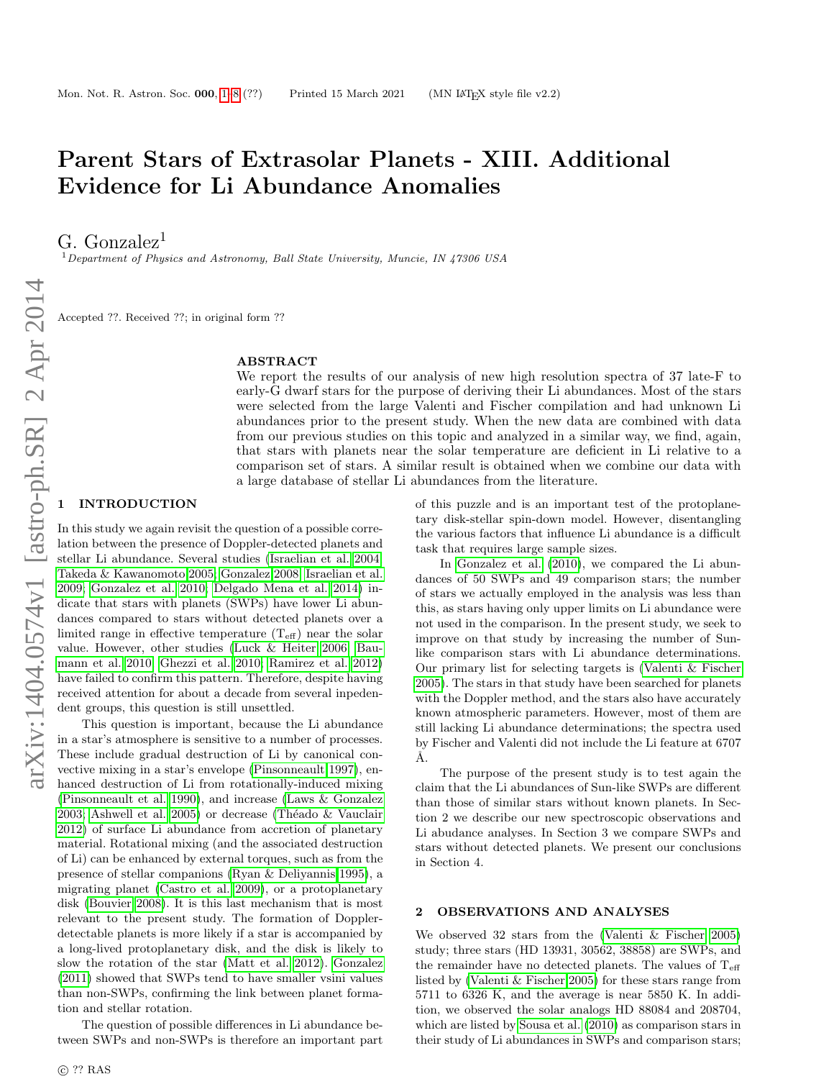# <span id="page-0-1"></span>Parent Stars of Extrasolar Planets - XIII. Additional Evidence for Li Abundance Anomalies

G. Gonzalez<sup>1</sup>

<sup>1</sup>Department of Physics and Astronomy, Ball State University, Muncie, IN 47306 USA

Accepted ??. Received ??; in original form ??

#### ABSTRACT

We report the results of our analysis of new high resolution spectra of 37 late-F to early-G dwarf stars for the purpose of deriving their Li abundances. Most of the stars were selected from the large Valenti and Fischer compilation and had unknown Li abundances prior to the present study. When the new data are combined with data from our previous studies on this topic and analyzed in a similar way, we find, again, that stars with planets near the solar temperature are deficient in Li relative to a comparison set of stars. A similar result is obtained when we combine our data with a large database of stellar Li abundances from the literature.

# <span id="page-0-0"></span>**INTRODUCTION**

In this study we again revisit the question of a possible correlation between the presence of Doppler-detected planets and stellar Li abundance. Several studies [\(Israelian et al. 2004;](#page-7-0) [Takeda & Kawanomoto 2005;](#page-7-1) [Gonzalez 2008;](#page-7-2) [Israelian et al.](#page-7-3) [2009;](#page-7-3) [Gonzalez et al. 2010;](#page-7-4) [Delgado Mena et al. 2014\)](#page-7-5) indicate that stars with planets (SWPs) have lower Li abundances compared to stars without detected planets over a limited range in effective temperature  $(T_{\text{eff}})$  near the solar value. However, other studies [\(Luck & Heiter 2006;](#page-7-6) [Bau](#page-7-7)[mann et al. 2010;](#page-7-7) [Ghezzi et al. 2010;](#page-7-8) [Ramirez et al. 2012\)](#page-7-9) have failed to confirm this pattern. Therefore, despite having received attention for about a decade from several inpedendent groups, this question is still unsettled.

This question is important, because the Li abundance in a star's atmosphere is sensitive to a number of processes. These include gradual destruction of Li by canonical convective mixing in a star's envelope [\(Pinsonneault 1997\)](#page-7-10), enhanced destruction of Li from rotationally-induced mixing [\(Pinsonneault et al. 1990\)](#page-7-11), and increase [\(Laws & Gonzalez](#page-7-12) [2003;](#page-7-12) [Ashwell et al. 2005\)](#page-7-13) or decrease (Théado  $&$  Vauclair [2012\)](#page-7-14) of surface Li abundance from accretion of planetary material. Rotational mixing (and the associated destruction of Li) can be enhanced by external torques, such as from the presence of stellar companions [\(Ryan & Deliyannis 1995\)](#page-7-15), a migrating planet [\(Castro et al. 2009\)](#page-7-16), or a protoplanetary disk [\(Bouvier 2008\)](#page-7-17). It is this last mechanism that is most relevant to the present study. The formation of Dopplerdetectable planets is more likely if a star is accompanied by a long-lived protoplanetary disk, and the disk is likely to slow the rotation of the star [\(Matt et al. 2012\)](#page-7-18). [Gonzalez](#page-7-19) [\(2011\)](#page-7-19) showed that SWPs tend to have smaller vsini values than non-SWPs, confirming the link between planet formation and stellar rotation.

The question of possible differences in Li abundance between SWPs and non-SWPs is therefore an important part of this puzzle and is an important test of the protoplanetary disk-stellar spin-down model. However, disentangling the various factors that influence Li abundance is a difficult task that requires large sample sizes.

In [Gonzalez et al.](#page-7-4) [\(2010\)](#page-7-4), we compared the Li abundances of 50 SWPs and 49 comparison stars; the number of stars we actually employed in the analysis was less than this, as stars having only upper limits on Li abundance were not used in the comparison. In the present study, we seek to improve on that study by increasing the number of Sunlike comparison stars with Li abundance determinations. Our primary list for selecting targets is [\(Valenti & Fischer](#page-7-20) [2005\)](#page-7-20). The stars in that study have been searched for planets with the Doppler method, and the stars also have accurately known atmospheric parameters. However, most of them are still lacking Li abundance determinations; the spectra used by Fischer and Valenti did not include the Li feature at 6707 Å.

The purpose of the present study is to test again the claim that the Li abundances of Sun-like SWPs are different than those of similar stars without known planets. In Section 2 we describe our new spectroscopic observations and Li abudance analyses. In Section 3 we compare SWPs and stars without detected planets. We present our conclusions in Section 4.

# 2 OBSERVATIONS AND ANALYSES

We observed 32 stars from the [\(Valenti & Fischer 2005\)](#page-7-20) study; three stars (HD 13931, 30562, 38858) are SWPs, and the remainder have no detected planets. The values of  $T_{\text{eff}}$ listed by [\(Valenti & Fischer 2005\)](#page-7-20) for these stars range from 5711 to 6326 K, and the average is near 5850 K. In addition, we observed the solar analogs HD 88084 and 208704, which are listed by [Sousa et al.](#page-7-21) [\(2010\)](#page-7-21) as comparison stars in their study of Li abundances in SWPs and comparison stars;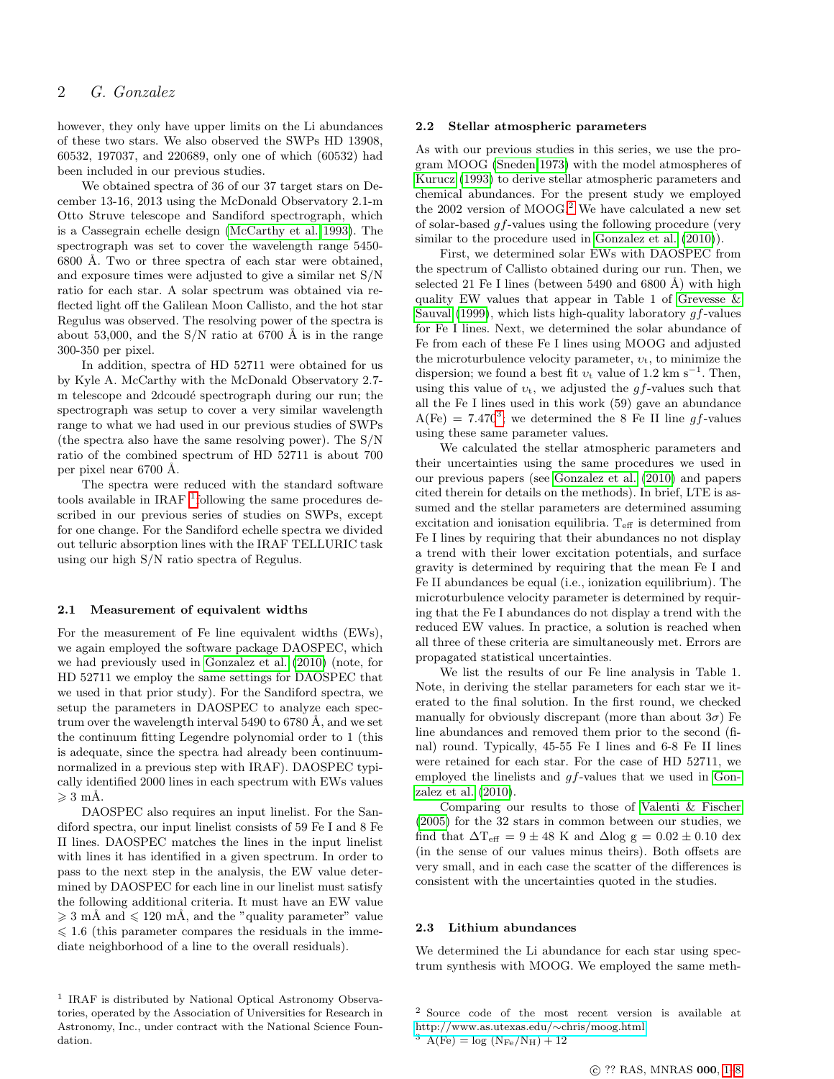however, they only have upper limits on the Li abundances of these two stars. We also observed the SWPs HD 13908, 60532, 197037, and 220689, only one of which (60532) had been included in our previous studies.

We obtained spectra of 36 of our 37 target stars on December 13-16, 2013 using the McDonald Observatory 2.1-m Otto Struve telescope and Sandiford spectrograph, which is a Cassegrain echelle design [\(McCarthy et al. 1993\)](#page-7-22). The spectrograph was set to cover the wavelength range 5450- 6800 Å. Two or three spectra of each star were obtained, and exposure times were adjusted to give a similar net S/N ratio for each star. A solar spectrum was obtained via reflected light off the Galilean Moon Callisto, and the hot star Regulus was observed. The resolving power of the spectra is about 53,000, and the  $S/N$  ratio at 6700 Å is in the range 300-350 per pixel.

In addition, spectra of HD 52711 were obtained for us by Kyle A. McCarthy with the McDonald Observatory 2.7 m telescope and 2dcoudé spectrograph during our run; the spectrograph was setup to cover a very similar wavelength range to what we had used in our previous studies of SWPs (the spectra also have the same resolving power). The S/N ratio of the combined spectrum of HD 52711 is about 700 per pixel near 6700 Å.

The spectra were reduced with the standard software tools available in IRAF  $^1$  $^1$ following the same procedures described in our previous series of studies on SWPs, except for one change. For the Sandiford echelle spectra we divided out telluric absorption lines with the IRAF TELLURIC task using our high S/N ratio spectra of Regulus.

#### 2.1 Measurement of equivalent widths

For the measurement of Fe line equivalent widths (EWs), we again employed the software package DAOSPEC, which we had previously used in [Gonzalez et al.](#page-7-4) [\(2010\)](#page-7-4) (note, for HD 52711 we employ the same settings for DAOSPEC that we used in that prior study). For the Sandiford spectra, we setup the parameters in DAOSPEC to analyze each spectrum over the wavelength interval  $5490$  to  $6780$  Å, and we set the continuum fitting Legendre polynomial order to 1 (this is adequate, since the spectra had already been continuumnormalized in a previous step with IRAF). DAOSPEC typically identified 2000 lines in each spectrum with EWs values  $\geqslant 3$  mÅ.

DAOSPEC also requires an input linelist. For the Sandiford spectra, our input linelist consists of 59 Fe I and 8 Fe II lines. DAOSPEC matches the lines in the input linelist with lines it has identified in a given spectrum. In order to pass to the next step in the analysis, the EW value determined by DAOSPEC for each line in our linelist must satisfy the following additional criteria. It must have an EW value  $\geq 3$  mÅ and  $\leq 120$  mÅ, and the "quality parameter" value  $\leq 1.6$  (this parameter compares the residuals in the immediate neighborhood of a line to the overall residuals).

#### 2.2 Stellar atmospheric parameters

As with our previous studies in this series, we use the program MOOG [\(Sneden 1973\)](#page-7-23) with the model atmospheres of [Kurucz](#page-7-24) [\(1993\)](#page-7-24) to derive stellar atmospheric parameters and chemical abundances. For the present study we employed the [2](#page-1-1)002 version of MOOG.<sup>2</sup> We have calculated a new set of solar-based gf-values using the following procedure (very similar to the procedure used in [Gonzalez et al.](#page-7-4) [\(2010\)](#page-7-4)).

First, we determined solar EWs with DAOSPEC from the spectrum of Callisto obtained during our run. Then, we selected 21 Fe I lines (between 5490 and 6800  $\AA$ ) with high quality EW values that appear in Table 1 of [Grevesse &](#page-7-25) [Sauval](#page-7-25) [\(1999\)](#page-7-25), which lists high-quality laboratory  $gf$ -values for Fe I lines. Next, we determined the solar abundance of Fe from each of these Fe I lines using MOOG and adjusted the microturbulence velocity parameter,  $v_t$ , to minimize the dispersion; we found a best fit  $v_t$  value of 1.2 km s<sup>-1</sup>. Then, using this value of  $v_t$ , we adjusted the gf-values such that all the Fe I lines used in this work (59) gave an abundance  $A(Fe) = 7.470^3$  $A(Fe) = 7.470^3$ ; we determined the 8 Fe II line gf-values using these same parameter values.

We calculated the stellar atmospheric parameters and their uncertainties using the same procedures we used in our previous papers (see [Gonzalez et al.](#page-7-4) [\(2010\)](#page-7-4) and papers cited therein for details on the methods). In brief, LTE is assumed and the stellar parameters are determined assuming excitation and ionisation equilibria.  $T_{\text{eff}}$  is determined from Fe I lines by requiring that their abundances no not display a trend with their lower excitation potentials, and surface gravity is determined by requiring that the mean Fe I and Fe II abundances be equal (i.e., ionization equilibrium). The microturbulence velocity parameter is determined by requiring that the Fe I abundances do not display a trend with the reduced EW values. In practice, a solution is reached when all three of these criteria are simultaneously met. Errors are propagated statistical uncertainties.

We list the results of our Fe line analysis in Table 1. Note, in deriving the stellar parameters for each star we iterated to the final solution. In the first round, we checked manually for obviously discrepant (more than about  $3\sigma$ ) Fe line abundances and removed them prior to the second (final) round. Typically, 45-55 Fe I lines and 6-8 Fe II lines were retained for each star. For the case of HD 52711, we employed the linelists and gf-values that we used in [Gon](#page-7-4)[zalez et al.](#page-7-4) [\(2010\)](#page-7-4).

Comparing our results to those of [Valenti & Fischer](#page-7-20) [\(2005\)](#page-7-20) for the 32 stars in common between our studies, we find that  $\Delta T_{\text{eff}} = 9 \pm 48$  K and  $\Delta$ log g = 0.02  $\pm$  0.10 dex (in the sense of our values minus theirs). Both offsets are very small, and in each case the scatter of the differences is consistent with the uncertainties quoted in the studies.

#### 2.3 Lithium abundances

We determined the Li abundance for each star using spectrum synthesis with MOOG. We employed the same meth-

<span id="page-1-0"></span><sup>&</sup>lt;sup>1</sup> IRAF is distributed by National Optical Astronomy Observatories, operated by the Association of Universities for Research in Astronomy, Inc., under contract with the National Science Foundation.

<span id="page-1-2"></span><span id="page-1-1"></span><sup>2</sup> Source code of the most recent version is available at [http://www.as.utexas.edu/](http://www.as.utexas.edu/~chris/moog.html)∼chris/moog.html  $^3$  A(Fe)  $=$   $\log$   $\left({\rm N_{Fe}/N_H}\right) + 12$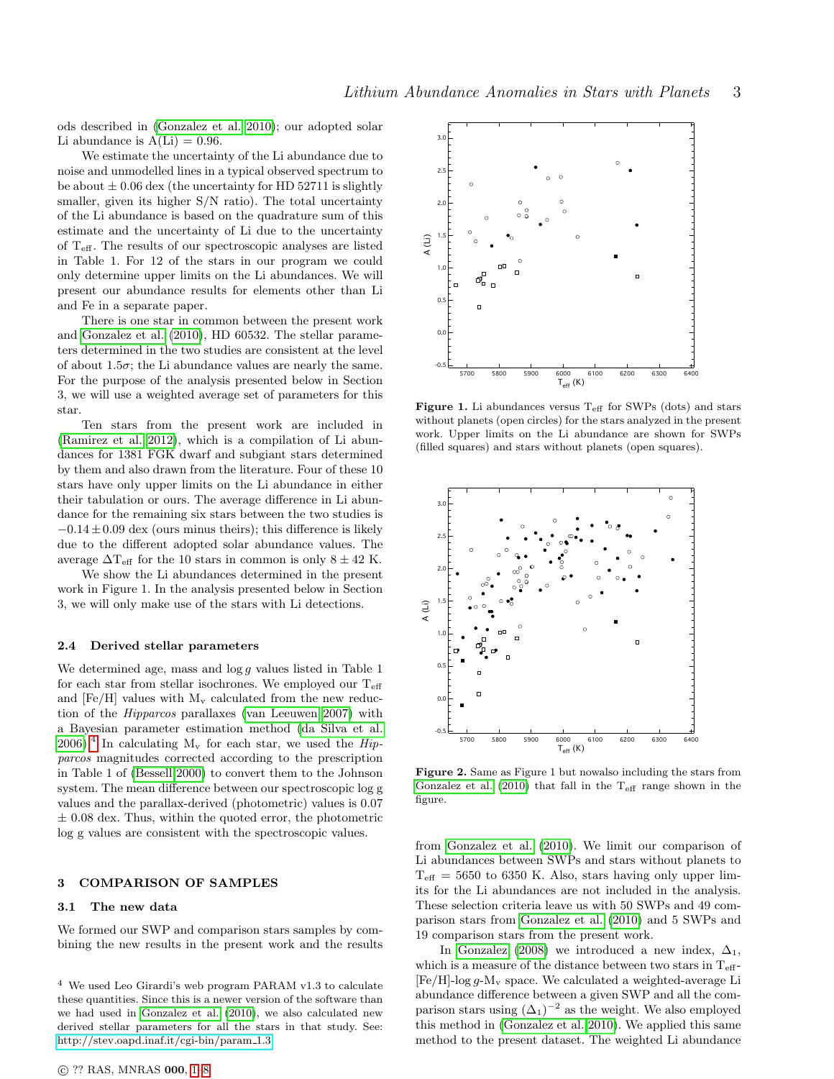ods described in [\(Gonzalez et al. 2010\)](#page-7-4); our adopted solar Li abundance is  $A(Li) = 0.96$ .

We estimate the uncertainty of the Li abundance due to noise and unmodelled lines in a typical observed spectrum to be about  $\pm 0.06$  dex (the uncertainty for HD 52711 is slightly smaller, given its higher S/N ratio). The total uncertainty of the Li abundance is based on the quadrature sum of this estimate and the uncertainty of Li due to the uncertainty of  $T_{\text{eff}}$ . The results of our spectroscopic analyses are listed in Table 1. For 12 of the stars in our program we could only determine upper limits on the Li abundances. We will present our abundance results for elements other than Li and Fe in a separate paper.

There is one star in common between the present work and [Gonzalez et al.](#page-7-4) [\(2010\)](#page-7-4), HD 60532. The stellar parameters determined in the two studies are consistent at the level of about 1.5 $\sigma$ ; the Li abundance values are nearly the same. For the purpose of the analysis presented below in Section 3, we will use a weighted average set of parameters for this star.

Ten stars from the present work are included in [\(Ramirez et al. 2012\)](#page-7-9), which is a compilation of Li abundances for 1381 FGK dwarf and subgiant stars determined by them and also drawn from the literature. Four of these 10 stars have only upper limits on the Li abundance in either their tabulation or ours. The average difference in Li abundance for the remaining six stars between the two studies is  $-0.14 \pm 0.09$  dex (ours minus theirs); this difference is likely due to the different adopted solar abundance values. The average  $\Delta T_{\text{eff}}$  for the 10 stars in common is only  $8 \pm 42$  K.

We show the Li abundances determined in the present work in Figure 1. In the analysis presented below in Section 3, we will only make use of the stars with Li detections.

#### 2.4 Derived stellar parameters

We determined age, mass and  $\log g$  values listed in Table 1 for each star from stellar isochrones. We employed our  $T_{\text{eff}}$ and  $[Fe/H]$  values with  $M_v$  calculated from the new reduction of the Hipparcos parallaxes [\(van Leeuwen 2007\)](#page-7-26) with a Bayesian parameter estimation method [\(da Silva et al.](#page-7-27) [2006\)](#page-7-27).<sup>[4](#page-2-0)</sup> In calculating  $M_v$  for each star, we used the *Hip*parcos magnitudes corrected according to the prescription in Table 1 of [\(Bessell 2000\)](#page-7-28) to convert them to the Johnson system. The mean difference between our spectroscopic log g values and the parallax-derived (photometric) values is 0.07  $\pm$  0.08 dex. Thus, within the quoted error, the photometric log g values are consistent with the spectroscopic values.

#### 3 COMPARISON OF SAMPLES

#### 3.1 The new data

We formed our SWP and comparison stars samples by combining the new results in the present work and the results



**Figure 1.** Li abundances versus  $T_{\text{eff}}$  for SWPs (dots) and stars without planets (open circles) for the stars analyzed in the present work. Upper limits on the Li abundance are shown for SWPs (filled squares) and stars without planets (open squares).



Figure 2. Same as Figure 1 but nowalso including the stars from [Gonzalez et al.](#page-7-4) [\(2010\)](#page-7-4) that fall in the  $T_{\text{eff}}$  range shown in the figure.

from [Gonzalez et al.](#page-7-4) [\(2010\)](#page-7-4). We limit our comparison of Li abundances between SWPs and stars without planets to  $T_{\text{eff}} = 5650$  to 6350 K. Also, stars having only upper limits for the Li abundances are not included in the analysis. These selection criteria leave us with 50 SWPs and 49 comparison stars from [Gonzalez et al.](#page-7-4) [\(2010\)](#page-7-4) and 5 SWPs and 19 comparison stars from the present work.

In [Gonzalez](#page-7-2) [\(2008\)](#page-7-2) we introduced a new index,  $\Delta_1$ , which is a measure of the distance between two stars in  $T_{\text{eff}}$ - $[Fe/H]-\log g-M_v$  space. We calculated a weighted-average Li abundance difference between a given SWP and all the comparison stars using  $(\Delta_1)^{-2}$  as the weight. We also employed this method in [\(Gonzalez et al. 2010\)](#page-7-4). We applied this same method to the present dataset. The weighted Li abundance

<span id="page-2-0"></span><sup>4</sup> We used Leo Girardi's web program PARAM v1.3 to calculate these quantities. Since this is a newer version of the software than we had used in [Gonzalez et al.](#page-7-4) [\(2010\)](#page-7-4), we also calculated new derived stellar parameters for all the stars in that study. See: [http://stev.oapd.inaf.it/cgi-bin/param](http://stev.oapd.inaf.it/cgi-bin/param_1.3) 1.3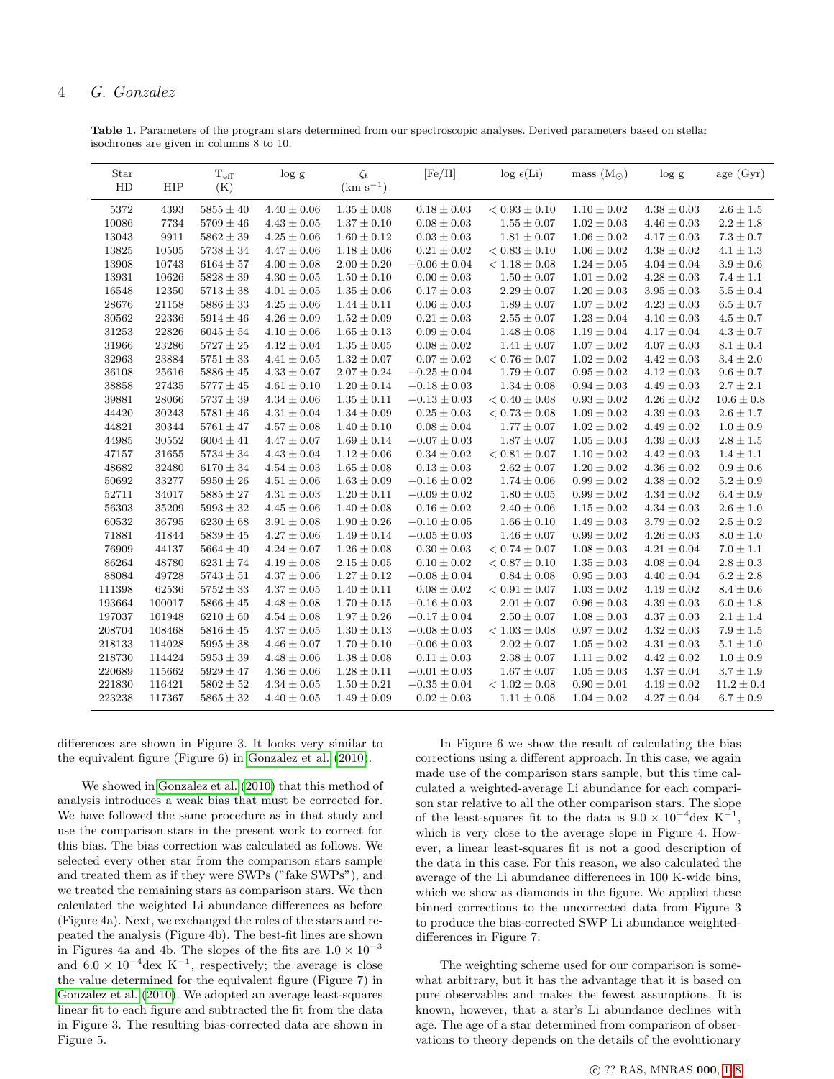Table 1. Parameters of the program stars determined from our spectroscopic analyses. Derived parameters based on stellar isochrones are given in columns 8 to 10.

| Star<br>HD | HIP    | $\rm T_{\rm eff}$<br>(K) | log g           | $\zeta_{\rm t}$<br>$\rm(km~s^{-1})$ | [Fe/H]           | $\log \epsilon(\text{Li})$ | mass $(M_{\odot})$ | $\log g$        | age (Gyr)      |
|------------|--------|--------------------------|-----------------|-------------------------------------|------------------|----------------------------|--------------------|-----------------|----------------|
| 5372       | 4393   | $5855 \pm 40$            | $4.40 \pm 0.06$ | $1.35 \pm 0.08$                     | $0.18 \pm 0.03$  | $< 0.93 \pm 0.10$          | $1.10 \pm 0.02$    | $4.38 \pm 0.03$ | $2.6 \pm 1.5$  |
| 10086      | 7734   | $5709 \pm 46$            | $4.43\pm0.05$   | $1.37 \pm 0.10$                     | $0.08 \pm 0.03$  | $1.55 \pm 0.07$            | $1.02 \pm 0.03$    | $4.46 \pm 0.03$ | $2.2 \pm 1.8$  |
| 13043      | 9911   | $5862 \pm 39$            | $4.25 \pm 0.06$ | $1.60 \pm 0.12$                     | $0.03 \pm 0.03$  | $1.81 \pm 0.07$            | $1.06 \pm 0.02$    | $4.17 \pm 0.03$ | $7.3\pm0.7$    |
| 13825      | 10505  | $5738 \pm 34$            | $4.47 \pm 0.06$ | $1.18 \pm 0.06$                     | $0.21 \pm 0.02$  | $< 0.83 \pm 0.10$          | $1.06 \pm 0.02$    | $4.38 \pm 0.02$ | $4.1 \pm 1.3$  |
| 13908      | 10743  | $6164 \pm 57$            | $4.00 \pm 0.08$ | $2.00 \pm 0.20$                     | $-0.06 \pm 0.04$ | $< 1.18 \pm 0.08$          | $1.24 \pm 0.05$    | $4.04 \pm 0.04$ | $3.9 \pm 0.6$  |
| 13931      | 10626  | $5828 \pm 39$            | $4.30 \pm 0.05$ | $1.50 \pm 0.10$                     | $0.00 \pm 0.03$  | $1.50 \pm 0.07$            | $1.01 \pm 0.02$    | $4.28\pm0.03$   | $7.4 \pm 1.1$  |
| 16548      | 12350  | $5713 \pm 38$            | $4.01 \pm 0.05$ | $1.35 \pm 0.06$                     | $0.17 \pm 0.03$  | $2.29 \pm 0.07$            | $1.20\pm0.03$      | $3.95 \pm 0.03$ | $5.5\pm0.4$    |
| 28676      | 21158  | $5886 \pm 33$            | $4.25\pm0.06$   | $1.44\pm0.11$                       | $0.06 \pm 0.03$  | $1.89 \pm 0.07$            | $1.07\pm0.02$      | $4.23\pm0.03$   | $6.5\pm0.7$    |
| 30562      | 22336  | $5914 \pm 46$            | $4.26 \pm 0.09$ | $1.52 \pm 0.09$                     | $0.21 \pm 0.03$  | $2.55 \pm 0.07$            | $1.23 \pm 0.04$    | $4.10 \pm 0.03$ | $4.5 \pm 0.7$  |
| 31253      | 22826  | $6045 \pm 54$            | $4.10 \pm 0.06$ | $1.65 \pm 0.13$                     | $0.09 \pm 0.04$  | $1.48 \pm 0.08$            | $1.19 \pm 0.04$    | $4.17 \pm 0.04$ | $4.3 \pm 0.7$  |
| 31966      | 23286  | $5727 \pm 25$            | $4.12 \pm 0.04$ | $1.35\pm0.05$                       | $0.08 \pm 0.02$  | $1.41 \pm 0.07$            | $1.07 \pm 0.02$    | $4.07 \pm 0.03$ | $8.1 \pm 0.4$  |
| 32963      | 23884  | $5751\pm33$              | $4.41 \pm 0.05$ | $1.32 \pm 0.07$                     | $0.07 \pm 0.02$  | $< 0.76 \pm 0.07$          | $1.02 \pm 0.02$    | $4.42 \pm 0.03$ | $3.4\pm2.0$    |
| 36108      | 25616  | $5886 \pm 45$            | $4.33 \pm 0.07$ | $2.07 \pm 0.24$                     | $-0.25 \pm 0.04$ | $1.79 \pm 0.07$            | $0.95 \pm 0.02$    | $4.12 \pm 0.03$ | $9.6 \pm 0.7$  |
| 38858      | 27435  | $5777 \pm 45$            | $4.61 \pm 0.10$ | $1.20 \pm 0.14$                     | $-0.18 \pm 0.03$ | $1.34 \pm 0.08$            | $0.94 \pm 0.03$    | $4.49\pm0.03$   | $2.7 \pm 2.1$  |
| 39881      | 28066  | $5737\pm39$              | $4.34 \pm 0.06$ | $1.35 \pm 0.11$                     | $-0.13 \pm 0.03$ | $< 0.40 \pm 0.08$          | $0.93 \pm 0.02$    | $4.26 \pm 0.02$ | $10.6 \pm 0.8$ |
| 44420      | 30243  | $5781 \pm 46$            | $4.31\pm0.04$   | $1.34 \pm 0.09$                     | $0.25 \pm 0.03$  | $< 0.73 \pm 0.08$          | $1.09 \pm 0.02$    | $4.39 \pm 0.03$ | $2.6 \pm 1.7$  |
| 44821      | 30344  | $5761 \pm 47$            | $4.57 \pm 0.08$ | $1.40 \pm 0.10$                     | $0.08 \pm 0.04$  | $1.77 \pm 0.07$            | $1.02 \pm 0.02$    | $4.49 \pm 0.02$ | $1.0 \pm 0.9$  |
| 44985      | 30552  | $6004 \pm 41$            | $4.47 \pm 0.07$ | $1.69 \pm 0.14$                     | $-0.07 \pm 0.03$ | $1.87 \pm 0.07$            | $1.05 \pm 0.03$    | $4.39 \pm 0.03$ | $2.8\pm1.5$    |
| 47157      | 31655  | $5734 \pm 34$            | $4.43 \pm 0.04$ | $1.12 \pm 0.06$                     | $0.34 \pm 0.02$  | $< 0.81 \pm 0.07$          | $1.10\pm0.02$      | $4.42\pm0.03$   | $1.4\pm1.1$    |
| 48682      | 32480  | $6170 \pm 34$            | $4.54\pm0.03$   | $1.65 \pm 0.08$                     | $0.13 \pm 0.03$  | $2.62 \pm 0.07$            | $1.20 \pm 0.02$    | $4.36\pm0.02$   | $0.9\pm0.6$    |
| 50692      | 33277  | $5950 \pm 26$            | $4.51 \pm 0.06$ | $1.63 \pm 0.09$                     | $-0.16 \pm 0.02$ | $1.74 \pm 0.06$            | $0.99 \pm 0.02$    | $4.38 \pm 0.02$ | $5.2 \pm 0.9$  |
| 52711      | 34017  | $5885 \pm 27$            | $4.31 \pm 0.03$ | $1.20 \pm 0.11$                     | $-0.09 \pm 0.02$ | $1.80 \pm 0.05$            | $0.99 \pm 0.02$    | $4.34 \pm 0.02$ | $6.4 \pm 0.9$  |
| 56303      | 35209  | $5993 \pm 32$            | $4.45 \pm 0.06$ | $1.40 \pm 0.08$                     | $0.16 \pm 0.02$  | $2.40 \pm 0.06$            | $1.15 \pm 0.02$    | $4.34 \pm 0.03$ | $2.6 \pm 1.0$  |
| 60532      | 36795  | $6230 \pm 68$            | $3.91 \pm 0.08$ | $1.90 \pm 0.26$                     | $-0.10 \pm 0.05$ | $1.66 \pm 0.10$            | $1.49 \pm 0.03$    | $3.79\pm0.02$   | $2.5\pm0.2$    |
| 71881      | 41844  | $5839 \pm 45$            | $4.27 \pm 0.06$ | $1.49 \pm 0.14$                     | $-0.05 \pm 0.03$ | $1.46 \pm 0.07$            | $0.99 \pm 0.02$    | $4.26 \pm 0.03$ | $8.0 \pm 1.0$  |
| 76909      | 44137  | $5664 \pm 40$            | $4.24 \pm 0.07$ | $1.26 \pm 0.08$                     | $0.30 \pm 0.03$  | $< 0.74\pm0.07$            | $1.08 \pm 0.03$    | $4.21 \pm 0.04$ | $7.0\pm1.1$    |
| 86264      | 48780  | $6231 \pm 74$            | $4.19 \pm 0.08$ | $2.15 \pm 0.05$                     | $0.10 \pm 0.02$  | $< 0.87 \pm 0.10$          | $1.35 \pm 0.03$    | $4.08 \pm 0.04$ | $2.8\pm0.3$    |
| 88084      | 49728  | $5743 \pm 51$            | $4.37 \pm 0.06$ | $1.27 \pm 0.12$                     | $-0.08 \pm 0.04$ | $0.84\pm0.08$              | $0.95 \pm 0.03$    | $4.40 \pm 0.04$ | $6.2 \pm 2.8$  |
| 111398     | 62536  | $5752 \pm 33$            | $4.37 \pm 0.05$ | $1.40 \pm 0.11$                     | $0.08 \pm 0.02$  | $<0.91\pm0.07$             | $1.03 \pm 0.02$    | $4.19 \pm 0.02$ | $8.4\pm0.6$    |
| 193664     | 100017 | $5866 \pm 45$            | $4.48 \pm 0.08$ | $1.70 \pm 0.15$                     | $-0.16 \pm 0.03$ | $2.01 \pm 0.07$            | $0.96 \pm 0.03$    | $4.39 \pm 0.03$ | $6.0 \pm 1.8$  |
| 197037     | 101948 | $6210 \pm 60$            | $4.54 \pm 0.08$ | $1.97 \pm 0.26$                     | $-0.17 \pm 0.04$ | $2.50\pm0.07$              | $1.08 \pm 0.03$    | $4.37\pm0.03$   | $2.1\pm1.4$    |
| 208704     | 108468 | $5816 \pm 45$            | $4.37 \pm 0.05$ | $1.30 \pm 0.13$                     | $-0.08 \pm 0.03$ | $< 1.03 \pm 0.08$          | $0.97 \pm 0.02$    | $4.32 \pm 0.03$ | $7.9\pm1.5$    |
| 218133     | 114028 | $5995 \pm 38$            | $4.46 \pm 0.07$ | $1.70 \pm 0.10$                     | $-0.06 \pm 0.03$ | $2.02 \pm 0.07$            | $1.05 \pm 0.02$    | $4.31\pm0.03$   | $5.1\pm1.0$    |
| 218730     | 114424 | $5953\pm39$              | $4.48 \pm 0.06$ | $1.38 \pm 0.08$                     | $0.11 \pm 0.03$  | $2.38 \pm 0.07$            | $1.11 \pm 0.02$    | $4.42 \pm 0.02$ | $1.0 \pm 0.9$  |
| 220689     | 115662 | $5929 \pm 47$            | $4.36 \pm 0.06$ | $1.28 \pm 0.11$                     | $-0.01 \pm 0.03$ | $1.67 \pm 0.07$            | $1.05 \pm 0.03$    | $4.37 \pm 0.04$ | $3.7 \pm 1.9$  |
| 221830     | 116421 | $5802\pm52$              | $4.34 \pm 0.05$ | $1.50 \pm 0.21$                     | $-0.35 \pm 0.04$ | $<1.02\pm0.08$             | $0.90 \pm 0.01$    | $4.19 \pm 0.02$ | $11.2 \pm 0.4$ |
| 223238     | 117367 | $5865 \pm 32$            | $4.40\pm0.05$   | $1.49 \pm 0.09$                     | $0.02 \pm 0.03$  | $1.11 \pm 0.08$            | $1.04 \pm 0.02$    | $4.27 \pm 0.04$ | $6.7 \pm 0.9$  |

differences are shown in Figure 3. It looks very similar to the equivalent figure (Figure 6) in [Gonzalez et al.](#page-7-4) [\(2010\)](#page-7-4).

We showed in [Gonzalez et al.](#page-7-4) [\(2010\)](#page-7-4) that this method of analysis introduces a weak bias that must be corrected for. We have followed the same procedure as in that study and use the comparison stars in the present work to correct for this bias. The bias correction was calculated as follows. We selected every other star from the comparison stars sample and treated them as if they were SWPs ("fake SWPs"), and we treated the remaining stars as comparison stars. We then calculated the weighted Li abundance differences as before (Figure 4a). Next, we exchanged the roles of the stars and repeated the analysis (Figure 4b). The best-fit lines are shown in Figures 4a and 4b. The slopes of the fits are  $1.0 \times 10^{-3}$ and  $6.0 \times 10^{-4}$ dex K<sup>-1</sup>, respectively; the average is close the value determined for the equivalent figure (Figure 7) in [Gonzalez et al.](#page-7-4) [\(2010\)](#page-7-4). We adopted an average least-squares linear fit to each figure and subtracted the fit from the data in Figure 3. The resulting bias-corrected data are shown in Figure 5.

In Figure 6 we show the result of calculating the bias corrections using a different approach. In this case, we again made use of the comparison stars sample, but this time calculated a weighted-average Li abundance for each comparison star relative to all the other comparison stars. The slope of the least-squares fit to the data is  $9.0 \times 10^{-4}$ dex K<sup>-1</sup>, which is very close to the average slope in Figure 4. However, a linear least-squares fit is not a good description of the data in this case. For this reason, we also calculated the average of the Li abundance differences in 100 K-wide bins, which we show as diamonds in the figure. We applied these binned corrections to the uncorrected data from Figure 3 to produce the bias-corrected SWP Li abundance weighteddifferences in Figure 7.

The weighting scheme used for our comparison is somewhat arbitrary, but it has the advantage that it is based on pure observables and makes the fewest assumptions. It is known, however, that a star's Li abundance declines with age. The age of a star determined from comparison of observations to theory depends on the details of the evolutionary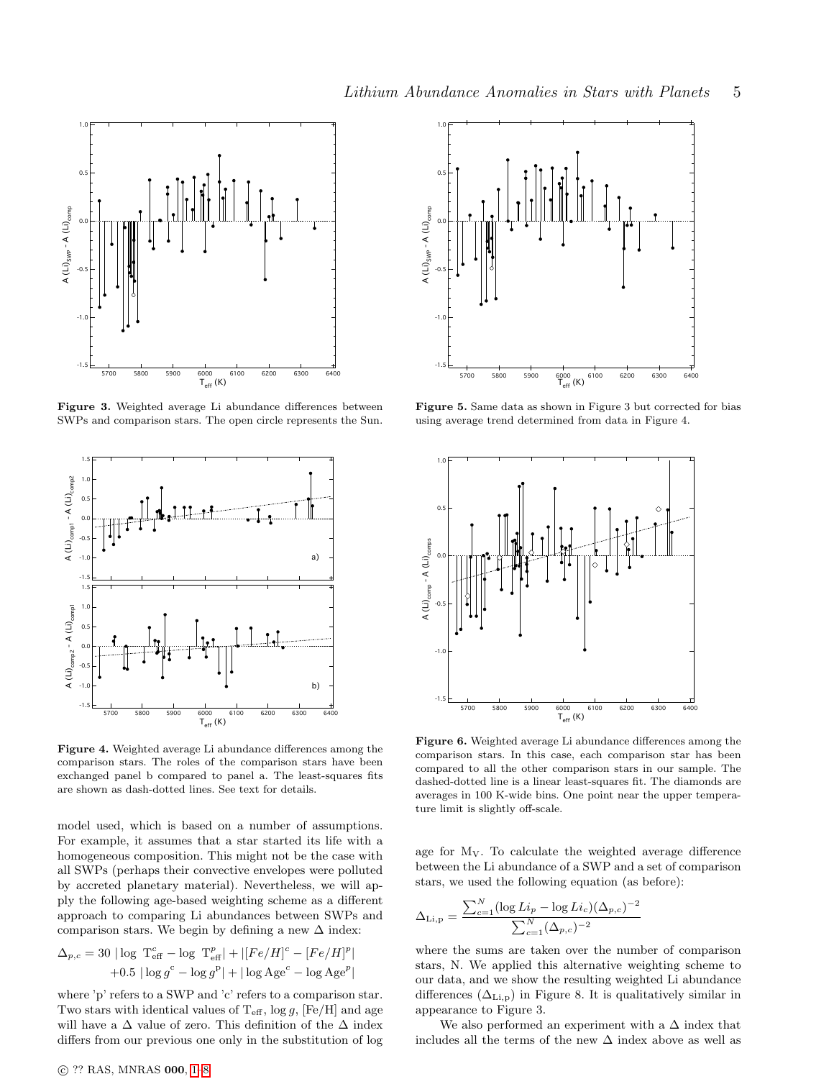

Figure 3. Weighted average Li abundance differences between SWPs and comparison stars. The open circle represents the Sun.



Figure 4. Weighted average Li abundance differences among the comparison stars. The roles of the comparison stars have been exchanged panel b compared to panel a. The least-squares fits are shown as dash-dotted lines. See text for details.

model used, which is based on a number of assumptions. For example, it assumes that a star started its life with a homogeneous composition. This might not be the case with all SWPs (perhaps their convective envelopes were polluted by accreted planetary material). Nevertheless, we will apply the following age-based weighting scheme as a different approach to comparing Li abundances between SWPs and comparison stars. We begin by defining a new  $\Delta$  index:

$$
\Delta_{p,c} = 30 |\log T_{\text{eff}}^c - \log T_{\text{eff}}^p| + |[Fe/H]^c - [Fe/H]^p|
$$
  
+0.5 |log g<sup>c</sup> - log g<sup>p</sup>| + |log Age<sup>c</sup> - log Age<sup>p</sup>|

where 'p' refers to a SWP and 'c' refers to a comparison star. Two stars with identical values of  $T_{\text{eff}}$ ,  $\log g$ , [Fe/H] and age will have a  $\Delta$  value of zero. This definition of the  $\Delta$  index differs from our previous one only in the substitution of log



Figure 5. Same data as shown in Figure 3 but corrected for bias using average trend determined from data in Figure 4.



Figure 6. Weighted average Li abundance differences among the comparison stars. In this case, each comparison star has been compared to all the other comparison stars in our sample. The dashed-dotted line is a linear least-squares fit. The diamonds are averages in 100 K-wide bins. One point near the upper temperature limit is slightly off-scale.

age for  $M_V$ . To calculate the weighted average difference between the Li abundance of a SWP and a set of comparison stars, we used the following equation (as before):

$$
\Delta_{\text{Li,p}} = \frac{\sum_{c=1}^{N} (\log Li_p - \log Li_c)(\Delta_{p,c})^{-2}}{\sum_{c=1}^{N} (\Delta_{p,c})^{-2}}
$$

where the sums are taken over the number of comparison stars, N. We applied this alternative weighting scheme to our data, and we show the resulting weighted Li abundance differences  $(\Delta_{\text{Li,p}})$  in Figure 8. It is qualitatively similar in appearance to Figure 3.

We also performed an experiment with a  $\Delta$  index that includes all the terms of the new ∆ index above as well as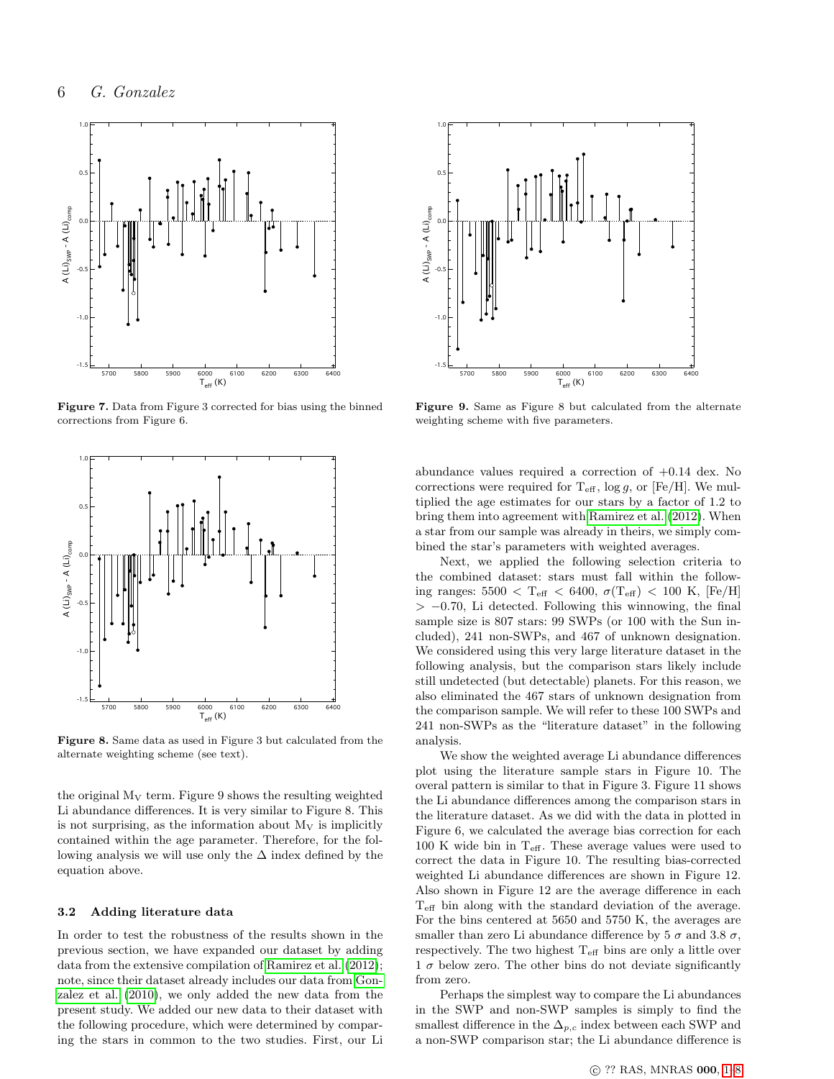

Figure 7. Data from Figure 3 corrected for bias using the binned corrections from Figure 6.



Figure 8. Same data as used in Figure 3 but calculated from the alternate weighting scheme (see text).

the original  $M_V$  term. Figure 9 shows the resulting weighted Li abundance differences. It is very similar to Figure 8. This is not surprising, as the information about  $M_V$  is implicitly contained within the age parameter. Therefore, for the following analysis we will use only the  $\Delta$  index defined by the equation above.

#### 3.2 Adding literature data

In order to test the robustness of the results shown in the previous section, we have expanded our dataset by adding data from the extensive compilation of [Ramirez et al.](#page-7-9) [\(2012\)](#page-7-9); note, since their dataset already includes our data from [Gon](#page-7-4)[zalez et al.](#page-7-4) [\(2010\)](#page-7-4), we only added the new data from the present study. We added our new data to their dataset with the following procedure, which were determined by comparing the stars in common to the two studies. First, our Li



Figure 9. Same as Figure 8 but calculated from the alternate weighting scheme with five parameters.

abundance values required a correction of +0.14 dex. No corrections were required for  $T_{\text{eff}}$ , log g, or [Fe/H]. We multiplied the age estimates for our stars by a factor of 1.2 to bring them into agreement with [Ramirez et al.](#page-7-9) [\(2012\)](#page-7-9). When a star from our sample was already in theirs, we simply combined the star's parameters with weighted averages.

Next, we applied the following selection criteria to the combined dataset: stars must fall within the following ranges:  $5500 < T_{\text{eff}} < 6400, \sigma(T_{\text{eff}}) < 100 \text{ K}, \text{[Fe/H]}$  $> -0.70$ , Li detected. Following this winnowing, the final sample size is 807 stars: 99 SWPs (or 100 with the Sun included), 241 non-SWPs, and 467 of unknown designation. We considered using this very large literature dataset in the following analysis, but the comparison stars likely include still undetected (but detectable) planets. For this reason, we also eliminated the 467 stars of unknown designation from the comparison sample. We will refer to these 100 SWPs and 241 non-SWPs as the "literature dataset" in the following analysis.

We show the weighted average Li abundance differences plot using the literature sample stars in Figure 10. The overal pattern is similar to that in Figure 3. Figure 11 shows the Li abundance differences among the comparison stars in the literature dataset. As we did with the data in plotted in Figure 6, we calculated the average bias correction for each 100 K wide bin in  $T_{\text{eff}}$ . These average values were used to correct the data in Figure 10. The resulting bias-corrected weighted Li abundance differences are shown in Figure 12. Also shown in Figure 12 are the average difference in each Teff bin along with the standard deviation of the average. For the bins centered at 5650 and 5750 K, the averages are smaller than zero Li abundance difference by 5  $\sigma$  and 3.8  $\sigma$ , respectively. The two highest  $T_{\text{eff}}$  bins are only a little over  $1 \sigma$  below zero. The other bins do not deviate significantly from zero.

Perhaps the simplest way to compare the Li abundances in the SWP and non-SWP samples is simply to find the smallest difference in the  $\Delta_{p,c}$  index between each SWP and a non-SWP comparison star; the Li abundance difference is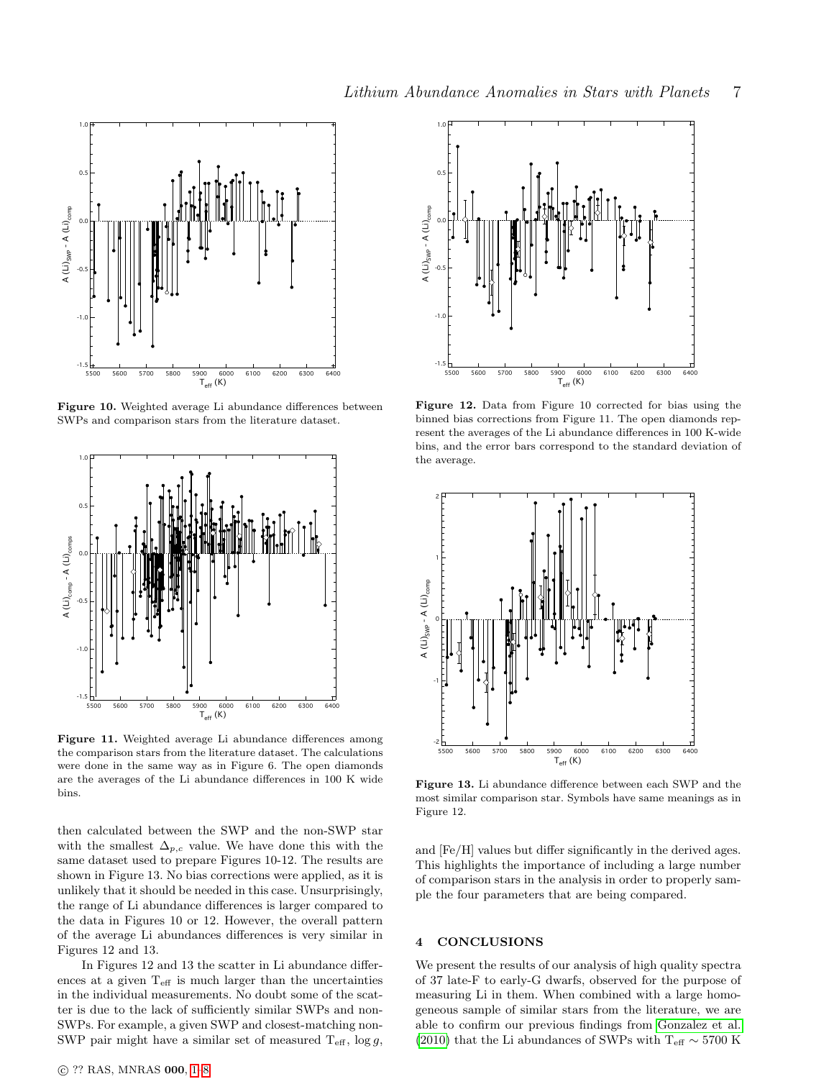

Figure 10. Weighted average Li abundance differences between SWPs and comparison stars from the literature dataset.



Figure 11. Weighted average Li abundance differences among the comparison stars from the literature dataset. The calculations were done in the same way as in Figure 6. The open diamonds are the averages of the Li abundance differences in 100 K wide bins.

then calculated between the SWP and the non-SWP star with the smallest  $\Delta_{p,c}$  value. We have done this with the same dataset used to prepare Figures 10-12. The results are shown in Figure 13. No bias corrections were applied, as it is unlikely that it should be needed in this case. Unsurprisingly, the range of Li abundance differences is larger compared to the data in Figures 10 or 12. However, the overall pattern of the average Li abundances differences is very similar in Figures 12 and 13.

In Figures 12 and 13 the scatter in Li abundance differences at a given  $T_{\text{eff}}$  is much larger than the uncertainties in the individual measurements. No doubt some of the scatter is due to the lack of sufficiently similar SWPs and non-SWPs. For example, a given SWP and closest-matching non-SWP pair might have a similar set of measured  $T_{\text{eff}}$ ,  $\log g$ ,



Figure 12. Data from Figure 10 corrected for bias using the binned bias corrections from Figure 11. The open diamonds represent the averages of the Li abundance differences in 100 K-wide bins, and the error bars correspond to the standard deviation of the average.



Figure 13. Li abundance difference between each SWP and the most similar comparison star. Symbols have same meanings as in Figure 12.

and [Fe/H] values but differ significantly in the derived ages. This highlights the importance of including a large number of comparison stars in the analysis in order to properly sample the four parameters that are being compared.

# 4 CONCLUSIONS

We present the results of our analysis of high quality spectra of 37 late-F to early-G dwarfs, observed for the purpose of measuring Li in them. When combined with a large homogeneous sample of similar stars from the literature, we are able to confirm our previous findings from [Gonzalez et al.](#page-7-4) [\(2010\)](#page-7-4) that the Li abundances of SWPs with  $\rm T_{eff} \sim 5700~K$